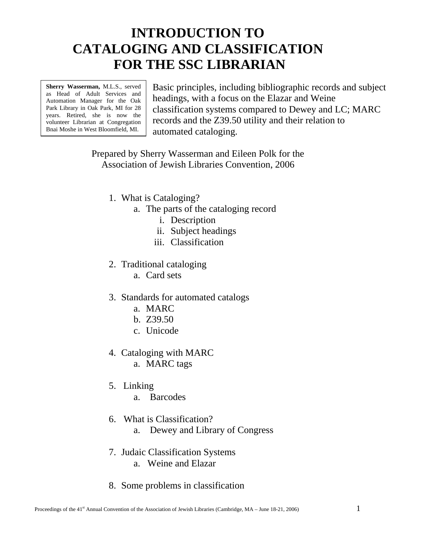# **INTRODUCTION TO CATALOGING AND CLASSIFICATION FOR THE SSC LIBRARIAN**

**Sherry Wasserman,** M.L.S., served as Head of Adult Services and Automation Manager for the Oak Park Library in Oak Park, MI for 28 years. Retired, she is now the volunteer Librarian at Congregation Bnai Moshe in West Bloomfield, MI.

Basic principles, including bibliographic records and subject headings, with a focus on the Elazar and Weine classification systems compared to Dewey and LC; MARC records and the Z39.50 utility and their relation to automated cataloging.

Prepared by Sherry Wasserman and Eileen Polk for the Association of Jewish Libraries Convention, 2006

- 1. What is Cataloging?
	- a. The parts of the cataloging record
		- i. Description
		- ii. Subject headings
		- iii. Classification
- 2. Traditional cataloging
	- a. Card sets
- 3. Standards for automated catalogs
	- a. MARC
	- b. Z39.50
	- c. Unicode
- 4. Cataloging with MARC
	- a. MARC tags
- 5. Linking
	- a. Barcodes
- 6. What is Classification?
	- a. Dewey and Library of Congress
- 7. Judaic Classification Systems
	- a. Weine and Elazar
- 8. Some problems in classification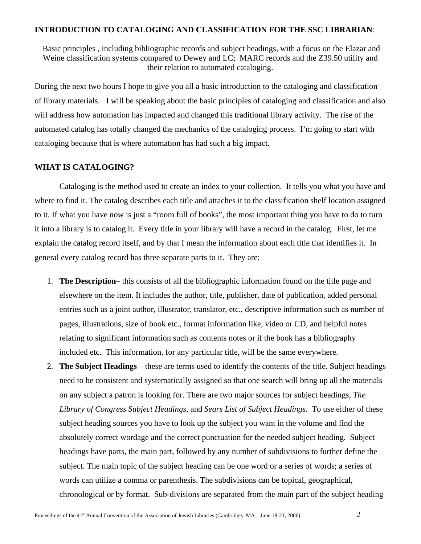## **INTRODUCTION TO CATALOGING AND CLASSIFICATION FOR THE SSC LIBRARIAN**:

 Basic principles , including bibliographic records and subject headings, with a focus on the Elazar and Weine classification systems compared to Dewey and LC; MARC records and the Z39.50 utility and their relation to automated cataloging.

During the next two hours I hope to give you all a basic introduction to the cataloging and classification of library materials. I will be speaking about the basic principles of cataloging and classification and also will address how automation has impacted and changed this traditional library activity. The rise of the automated catalog has totally changed the mechanics of the cataloging process. I'm going to start with cataloging because that is where automation has had such a big impact.

## **WHAT IS CATALOGING?**

Cataloging is the method used to create an index to your collection. It tells you what you have and where to find it. The catalog describes each title and attaches it to the classification shelf location assigned to it. If what you have now is just a "room full of books", the most important thing you have to do to turn it into a library is to catalog it. Every title in your library will have a record in the catalog. First, let me explain the catalog record itself, and by that I mean the information about each title that identifies it. In general every catalog record has three separate parts to it. They are:

- 1. **The Description** this consists of all the bibliographic information found on the title page and elsewhere on the item. It includes the author, title, publisher, date of publication, added personal entries such as a joint author, illustrator, translator, etc., descriptive information such as number of pages, illustrations, size of book etc., format information like, video or CD, and helpful notes relating to significant information such as contents notes or if the book has a bibliography included etc. This information, for any particular title, will be the same everywhere.
- 2. **The Subject Headings** these are terms used to identify the contents of the title. Subject headings need to be consistent and systematically assigned so that one search will bring up all the materials on any subject a patron is looking for. There are two major sources for subject headings, *The Library of Congress Subject Headings*, and *Sears List of Subject Headings*. To use either of these subject heading sources you have to look up the subject you want in the volume and find the absolutely correct wordage and the correct punctuation for the needed subject heading. Subject headings have parts, the main part, followed by any number of subdivisions to further define the subject. The main topic of the subject heading can be one word or a series of words; a series of words can utilize a comma or parenthesis. The subdivisions can be topical, geographical, chronological or by format. Sub-divisions are separated from the main part of the subject heading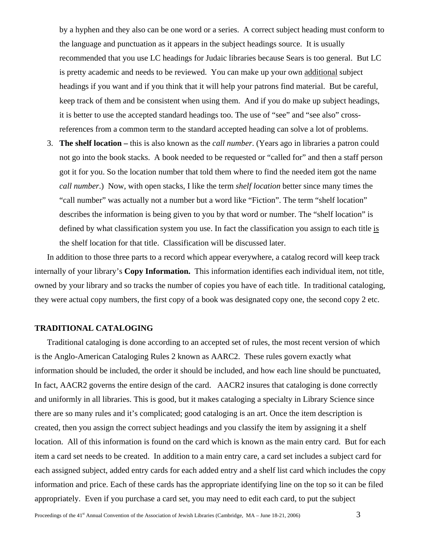by a hyphen and they also can be one word or a series. A correct subject heading must conform to the language and punctuation as it appears in the subject headings source. It is usually recommended that you use LC headings for Judaic libraries because Sears is too general. But LC is pretty academic and needs to be reviewed. You can make up your own additional subject headings if you want and if you think that it will help your patrons find material. But be careful, keep track of them and be consistent when using them. And if you do make up subject headings, it is better to use the accepted standard headings too. The use of "see" and "see also" crossreferences from a common term to the standard accepted heading can solve a lot of problems.

3. **The shelf location –** this is also known as the *call number*. (Years ago in libraries a patron could not go into the book stacks. A book needed to be requested or "called for" and then a staff person got it for you. So the location number that told them where to find the needed item got the name *call number*.) Now, with open stacks, I like the term *shelf location* better since many times the "call number" was actually not a number but a word like "Fiction". The term "shelf location" describes the information is being given to you by that word or number. The "shelf location" is defined by what classification system you use. In fact the classification you assign to each title is the shelf location for that title. Classification will be discussed later.

In addition to those three parts to a record which appear everywhere, a catalog record will keep track internally of your library's **Copy Information.** This information identifies each individual item, not title, owned by your library and so tracks the number of copies you have of each title. In traditional cataloging, they were actual copy numbers, the first copy of a book was designated copy one, the second copy 2 etc.

## **TRADITIONAL CATALOGING**

Traditional cataloging is done according to an accepted set of rules, the most recent version of which is the Anglo-American Cataloging Rules 2 known as AARC2. These rules govern exactly what information should be included, the order it should be included, and how each line should be punctuated, In fact, AACR2 governs the entire design of the card. AACR2 insures that cataloging is done correctly and uniformly in all libraries. This is good, but it makes cataloging a specialty in Library Science since there are so many rules and it's complicated; good cataloging is an art. Once the item description is created, then you assign the correct subject headings and you classify the item by assigning it a shelf location. All of this information is found on the card which is known as the main entry card. But for each item a card set needs to be created. In addition to a main entry care, a card set includes a subject card for each assigned subject, added entry cards for each added entry and a shelf list card which includes the copy information and price. Each of these cards has the appropriate identifying line on the top so it can be filed appropriately. Even if you purchase a card set, you may need to edit each card, to put the subject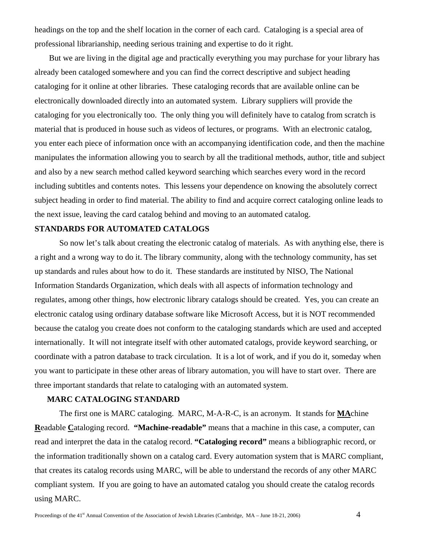headings on the top and the shelf location in the corner of each card. Cataloging is a special area of professional librarianship, needing serious training and expertise to do it right.

 But we are living in the digital age and practically everything you may purchase for your library has already been cataloged somewhere and you can find the correct descriptive and subject heading cataloging for it online at other libraries. These cataloging records that are available online can be electronically downloaded directly into an automated system. Library suppliers will provide the cataloging for you electronically too. The only thing you will definitely have to catalog from scratch is material that is produced in house such as videos of lectures, or programs. With an electronic catalog, you enter each piece of information once with an accompanying identification code, and then the machine manipulates the information allowing you to search by all the traditional methods, author, title and subject and also by a new search method called keyword searching which searches every word in the record including subtitles and contents notes. This lessens your dependence on knowing the absolutely correct subject heading in order to find material. The ability to find and acquire correct cataloging online leads to the next issue, leaving the card catalog behind and moving to an automated catalog.

## **STANDARDS FOR AUTOMATED CATALOGS**

So now let's talk about creating the electronic catalog of materials. As with anything else, there is a right and a wrong way to do it. The library community, along with the technology community, has set up standards and rules about how to do it. These standards are instituted by NISO, The National Information Standards Organization, which deals with all aspects of information technology and regulates, among other things, how electronic library catalogs should be created. Yes, you can create an electronic catalog using ordinary database software like Microsoft Access, but it is NOT recommended because the catalog you create does not conform to the cataloging standards which are used and accepted internationally. It will not integrate itself with other automated catalogs, provide keyword searching, or coordinate with a patron database to track circulation. It is a lot of work, and if you do it, someday when you want to participate in these other areas of library automation, you will have to start over. There are three important standards that relate to cataloging with an automated system.

## **MARC CATALOGING STANDARD**

The first one is MARC cataloging. MARC, M-A-R-C, is an acronym. It stands for **MA**chine **R**eadable **C**ataloging record. **"Machine-readable"** means that a machine in this case, a computer, can read and interpret the data in the catalog record. **"Cataloging record"** means a bibliographic record, or the information traditionally shown on a catalog card. Every automation system that is MARC compliant, that creates its catalog records using MARC, will be able to understand the records of any other MARC compliant system. If you are going to have an automated catalog you should create the catalog records using MARC.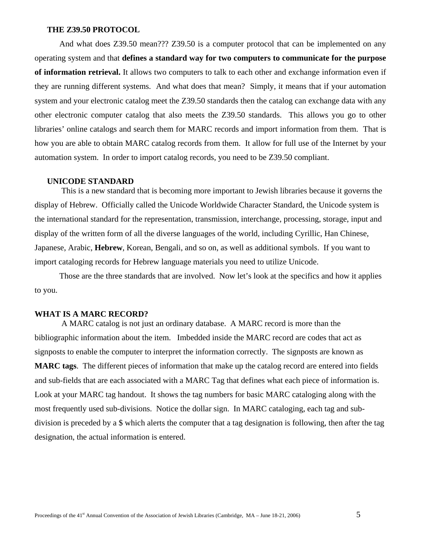#### **THE Z39.50 PROTOCOL**

And what does Z39.50 mean??? Z39.50 is a computer protocol that can be implemented on any operating system and that **defines a standard way for two computers to communicate for the purpose of information retrieval.** It allows two computers to talk to each other and exchange information even if they are running different systems.And what does that mean? Simply, it means that if your automation system and your electronic catalog meet the Z39.50 standards then the catalog can exchange data with any other electronic computer catalog that also meets the Z39.50 standards. This allows you go to other libraries' online catalogs and search them for MARC records and import information from them. That is how you are able to obtain MARC catalog records from them. It allow for full use of the Internet by your automation system. In order to import catalog records, you need to be Z39.50 compliant.

#### **UNICODE STANDARD**

 This is a new standard that is becoming more important to Jewish libraries because it governs the display of Hebrew.Officially called the Unicode Worldwide Character Standard, the Unicode system is the international standard for the representation, transmission, interchange, processing, storage, input and display of the written form of all the diverse languages of the world, including Cyrillic, Han Chinese, Japanese, Arabic, **Hebrew**, Korean, Bengali, and so on, as well as additional symbols. If you want to import cataloging records for Hebrew language materials you need to utilize Unicode.

Those are the three standards that are involved. Now let's look at the specifics and how it applies to you.

## **WHAT IS A MARC RECORD?**

 A MARC catalog is not just an ordinary database. A MARC record is more than the bibliographic information about the item. Imbedded inside the MARC record are codes that act as signposts to enable the computer to interpret the information correctly. The signposts are known as **MARC tags**. The different pieces of information that make up the catalog record are entered into fields and sub-fields that are each associated with a MARC Tag that defines what each piece of information is. Look at your MARC tag handout. It shows the tag numbers for basic MARC cataloging along with the most frequently used sub-divisions. Notice the dollar sign. In MARC cataloging, each tag and subdivision is preceded by a \$ which alerts the computer that a tag designation is following, then after the tag designation, the actual information is entered.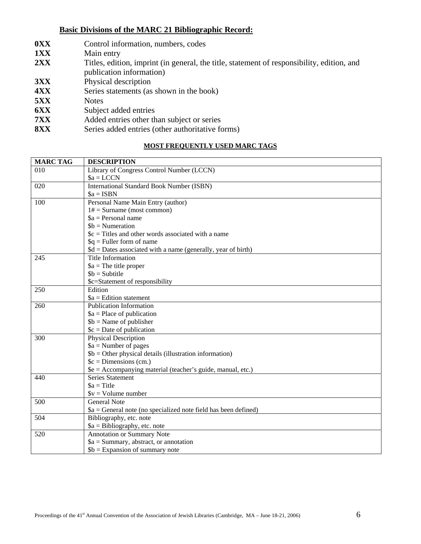## **Basic Divisions of the MARC 21 Bibliographic Record:**

- **0XX** Control information, numbers, codes
- **1XX** Main entry
- **2XX** Titles, edition, imprint (in general, the title, statement of responsibility, edition, and publication information)
- 
- **3XX** Physical description<br>**4XX** Series statements (as Series statements (as shown in the book)
- **5XX** Notes
- **6XX** Subject added entries
- **7XX** Added entries other than subject or series
- **8XX** Series added entries (other authoritative forms)

# **MOST FREQUENTLY USED MARC TAGS**

| <b>MARC TAG</b> | <b>DESCRIPTION</b>                                              |
|-----------------|-----------------------------------------------------------------|
| 010             | Library of Congress Control Number (LCCN)                       |
|                 | $a = LCCN$                                                      |
| 020             | <b>International Standard Book Number (ISBN)</b>                |
|                 | $a = ISBN$                                                      |
| 100             | Personal Name Main Entry (author)                               |
|                 | $1# =$ Surname (most common)                                    |
|                 | $a = Personal$ name                                             |
|                 | $$b = Numeration$                                               |
|                 | $c = Titles$ and other words associated with a name             |
|                 | $q =$ Fuller form of name                                       |
|                 | $d = Dates associated with a name (generally, year of birth)$   |
| 245             | <b>Title Information</b>                                        |
|                 | $a$ = The title proper                                          |
|                 | $$b = Subitite$                                                 |
|                 | \$c=Statement of responsibility                                 |
| 250             | Edition                                                         |
|                 | $a =$ Edition statement                                         |
| 260             | <b>Publication Information</b>                                  |
|                 | $a = Place of publication$                                      |
|                 | $$b = Name of publisher$                                        |
|                 | $c = Date of publication$                                       |
| 300             | Physical Description                                            |
|                 | $a =$ Number of pages                                           |
|                 | $$b = Other physical details (illustration information)$        |
|                 | $c =$ Dimensions (cm.)                                          |
|                 | \$e = Accompanying material (teacher's guide, manual, etc.)     |
| 440             | <b>Series Statement</b>                                         |
|                 | $a = Title$                                                     |
|                 | $y = Volume number$                                             |
| 500             | <b>General Note</b>                                             |
|                 | $a = General note$ (no specialized note field has been defined) |
| 504             | Bibliography, etc. note                                         |
|                 | $a = Bibliography, etc. note$                                   |
| 520             | Annotation or Summary Note                                      |
|                 | $a = Summary$ , abstract, or annotation                         |
|                 | $$b =$ Expansion of summary note                                |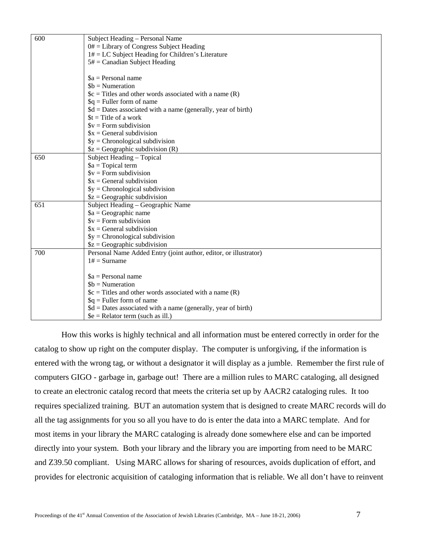| 600 | Subject Heading - Personal Name                                  |
|-----|------------------------------------------------------------------|
|     | $0#$ = Library of Congress Subject Heading                       |
|     | $1# = LC$ Subject Heading for Children's Literature              |
|     | $5# =$ Canadian Subject Heading                                  |
|     |                                                                  |
|     | $a =$ Personal name                                              |
|     | $$b = Numeration$                                                |
|     | $c = Titles$ and other words associated with a name $(R)$        |
|     | $q =$ Fuller form of name                                        |
|     | $d = Dates associated with a name (generally, year of birth)$    |
|     | $t =$ Title of a work                                            |
|     | $V = Form$ subdivision                                           |
|     | $x = General$ subdivision                                        |
|     | $\$y =$ Chronological subdivision                                |
|     | $$z = Geographic$ subdivision (R)                                |
| 650 | Subject Heading - Topical                                        |
|     | $a = \text{Topical term}$                                        |
|     | $V = Form$ subdivision                                           |
|     | $x = General$ subdivision                                        |
|     | $\$y =$ Chronological subdivision                                |
|     | $$z = Geographic$ subdivision                                    |
| 651 | Subject Heading - Geographic Name                                |
|     | $a = Geographic$ name                                            |
|     | $V = Form$ subdivision                                           |
|     | $x = General$ subdivision                                        |
|     | $\$y = Chromological subdivision$                                |
|     | $$z = Geographic$ subdivision                                    |
| 700 | Personal Name Added Entry (joint author, editor, or illustrator) |
|     | $1# =$ Surname                                                   |
|     |                                                                  |
|     | $a =$ Personal name                                              |
|     | $$b = Numeration$                                                |
|     | $c = Titles$ and other words associated with a name (R)          |
|     | $q =$ Fuller form of name                                        |
|     | $d = Dates associated with a name (generally, year of birth)$    |
|     | $\mathcal{S}$ e = Relator term (such as ill.)                    |

 How this works is highly technical and all information must be entered correctly in order for the catalog to show up right on the computer display. The computer is unforgiving, if the information is entered with the wrong tag, or without a designator it will display as a jumble. Remember the first rule of computers GIGO - garbage in, garbage out! There are a million rules to MARC cataloging, all designed to create an electronic catalog record that meets the criteria set up by AACR2 cataloging rules. It too requires specialized training. BUT an automation system that is designed to create MARC records will do all the tag assignments for you so all you have to do is enter the data into a MARC template. And for most items in your library the MARC cataloging is already done somewhere else and can be imported directly into your system. Both your library and the library you are importing from need to be MARC and Z39.50 compliant. Using MARC allows for sharing of resources, avoids duplication of effort, and provides for electronic acquisition of cataloging information that is reliable. We all don't have to reinvent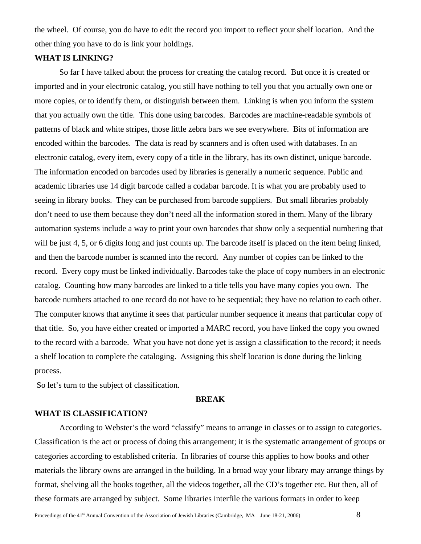the wheel. Of course, you do have to edit the record you import to reflect your shelf location. And the other thing you have to do is link your holdings.

# **WHAT IS LINKING?**

So far I have talked about the process for creating the catalog record. But once it is created or imported and in your electronic catalog, you still have nothing to tell you that you actually own one or more copies, or to identify them, or distinguish between them. Linking is when you inform the system that you actually own the title. This done using barcodes. Barcodes are machine-readable symbols of patterns of black and white stripes, those little zebra bars we see everywhere. Bits of information are encoded within the barcodes. The data is read by scanners and is often used with databases. In an electronic catalog, every item, every copy of a title in the library, has its own distinct, unique barcode. The information encoded on barcodes used by libraries is generally a numeric sequence. Public and academic libraries use 14 digit barcode called a codabar barcode. It is what you are probably used to seeing in library books. They can be purchased from barcode suppliers. But small libraries probably don't need to use them because they don't need all the information stored in them. Many of the library automation systems include a way to print your own barcodes that show only a sequential numbering that will be just 4, 5, or 6 digits long and just counts up. The barcode itself is placed on the item being linked, and then the barcode number is scanned into the record. Any number of copies can be linked to the record. Every copy must be linked individually. Barcodes take the place of copy numbers in an electronic catalog. Counting how many barcodes are linked to a title tells you have many copies you own. The barcode numbers attached to one record do not have to be sequential; they have no relation to each other. The computer knows that anytime it sees that particular number sequence it means that particular copy of that title. So, you have either created or imported a MARC record, you have linked the copy you owned to the record with a barcode. What you have not done yet is assign a classification to the record; it needs a shelf location to complete the cataloging. Assigning this shelf location is done during the linking process.

So let's turn to the subject of classification.

#### **BREAK**

## **WHAT IS CLASSIFICATION?**

According to Webster's the word "classify" means to arrange in classes or to assign to categories. Classification is the act or process of doing this arrangement; it is the systematic arrangement of groups or categories according to established criteria. In libraries of course this applies to how books and other materials the library owns are arranged in the building. In a broad way your library may arrange things by format, shelving all the books together, all the videos together, all the CD's together etc. But then, all of these formats are arranged by subject. Some libraries interfile the various formats in order to keep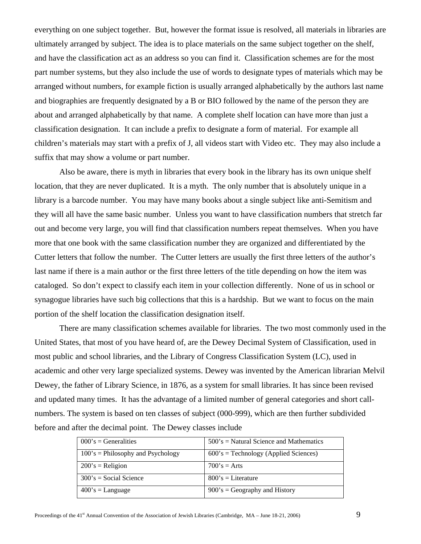everything on one subject together. But, however the format issue is resolved, all materials in libraries are ultimately arranged by subject. The idea is to place materials on the same subject together on the shelf, and have the classification act as an address so you can find it. Classification schemes are for the most part number systems, but they also include the use of words to designate types of materials which may be arranged without numbers, for example fiction is usually arranged alphabetically by the authors last name and biographies are frequently designated by a B or BIO followed by the name of the person they are about and arranged alphabetically by that name. A complete shelf location can have more than just a classification designation. It can include a prefix to designate a form of material. For example all children's materials may start with a prefix of J, all videos start with Video etc. They may also include a suffix that may show a volume or part number.

Also be aware, there is myth in libraries that every book in the library has its own unique shelf location, that they are never duplicated. It is a myth. The only number that is absolutely unique in a library is a barcode number. You may have many books about a single subject like anti-Semitism and they will all have the same basic number. Unless you want to have classification numbers that stretch far out and become very large, you will find that classification numbers repeat themselves. When you have more that one book with the same classification number they are organized and differentiated by the Cutter letters that follow the number. The Cutter letters are usually the first three letters of the author's last name if there is a main author or the first three letters of the title depending on how the item was cataloged. So don't expect to classify each item in your collection differently. None of us in school or synagogue libraries have such big collections that this is a hardship. But we want to focus on the main portion of the shelf location the classification designation itself.

There are many classification schemes available for libraries. The two most commonly used in the United States, that most of you have heard of, are the Dewey Decimal System of Classification, used in most public and school libraries, and the Library of Congress Classification System (LC), used in academic and other very large specialized systems. Dewey was invented by the American librarian Melvil Dewey, the father of Library Science, in 1876, as a system for small libraries. It has since been revised and updated many times. It has the advantage of a limited number of general categories and short callnumbers. The system is based on ten classes of subject (000-999), which are then further subdivided before and after the decimal point. The Dewey classes include

| $000$ 's = Generalities              | $500$ 's = Natural Science and Mathematics |
|--------------------------------------|--------------------------------------------|
| $100$ 's = Philosophy and Psychology | $600$ 's = Technology (Applied Sciences)   |
| $200$ 's = Religion                  | $700's = Arts$                             |
| $300$ 's = Social Science            | $800$ 's = Literature                      |
| $400$ 's = Language                  | $900$ 's = Geography and History           |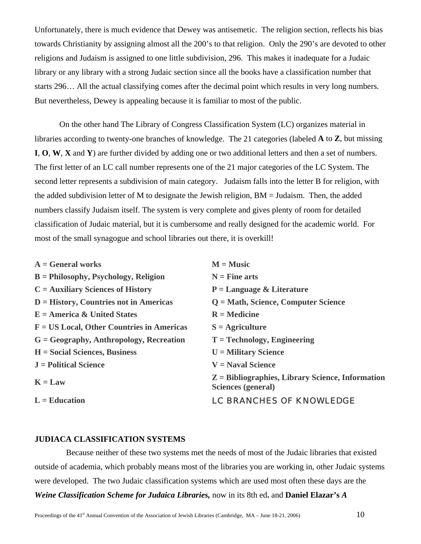Unfortunately, there is much evidence that Dewey was antisemetic. The religion section, reflects his bias towards Christianity by assigning almost all the 200's to that religion. Only the 290's are devoted to other religions and Judaism is assigned to one little subdivision, 296. This makes it inadequate for a Judaic library or any library with a strong Judaic section since all the books have a classification number that starts 296… All the actual classifying comes after the decimal point which results in very long numbers. But nevertheless, Dewey is appealing because it is familiar to most of the public.

On the other hand The Library of Congress Classification System (LC) organizes material in libraries according to twenty-one branches of knowledge. The 21 categories (labeled **A** to **Z**, but missing **I**, **O**, **W**, **X** and **Y**) are further divided by adding one or two additional letters and then a set of numbers. The first letter of an LC call number represents one of the 21 major categories of the LC System. The second letter represents a subdivision of main category. Judaism falls into the letter B for religion, with the added subdivision letter of M to designate the Jewish religion, BM = Judaism. Then, the added numbers classify Judaism itself. The system is very complete and gives plenty of room for detailed classification of Judaic material, but it is cumbersome and really designed for the academic world. For most of the small synagogue and school libraries out there, it is overkill!

| $A = General$ works                          | $M = Music$                                                              |
|----------------------------------------------|--------------------------------------------------------------------------|
| $B =$ Philosophy, Psychology, Religion       | $N =$ Fine arts                                                          |
| $C =$ Auxiliary Sciences of History          | $P = Language & Literature$                                              |
| $D = History, Countries not in Americas$     | $Q = Math$ , Science, Computer Science                                   |
| $E =$ America & United States                | $R =$ Medicine                                                           |
| $F = US Local$ , Other Countries in Americas | $S =$ Agriculture                                                        |
| $G = Geography$ , Anthropology, Recreation   | $T = Technology$ , Engineering                                           |
| $H = Social Sciences$ , Business             | $U =$ Military Science                                                   |
| $J =$ Political Science                      | $V =$ Naval Science                                                      |
| $K = Law$                                    | $Z =$ Bibliographies, Library Science, Information<br>Sciences (general) |
| $L =$ Education                              | <b>LC BRANCHES OF KNOWLEDGE</b>                                          |

## **JUDIACA CLASSIFICATION SYSTEMS**

 Because neither of these two systems met the needs of most of the Judaic libraries that existed outside of academia, which probably means most of the libraries you are working in, other Judaic systems were developed. The two Judaic classification systems which are used most often these days are the *Weine Classification Scheme for Judaica Libraries,* now in its 8th ed**.** and **Daniel Elazar's** *A*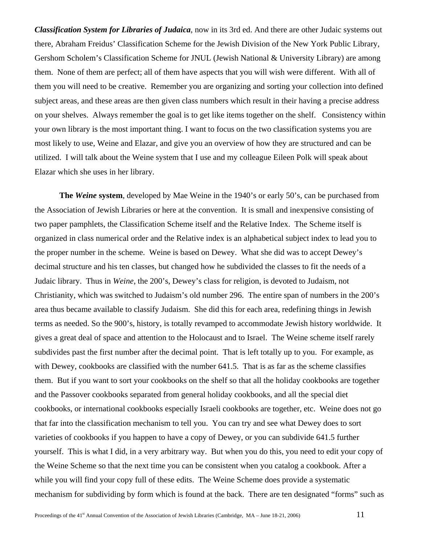*Classification System for Libraries of Judaica*, now in its 3rd ed. And there are other Judaic systems out there, Abraham Freidus' Classification Scheme for the Jewish Division of the New York Public Library, Gershom Scholem's Classification Scheme for JNUL (Jewish National & University Library) are among them. None of them are perfect; all of them have aspects that you will wish were different. With all of them you will need to be creative. Remember you are organizing and sorting your collection into defined subject areas, and these areas are then given class numbers which result in their having a precise address on your shelves. Always remember the goal is to get like items together on the shelf. Consistency within your own library is the most important thing. I want to focus on the two classification systems you are most likely to use, Weine and Elazar, and give you an overview of how they are structured and can be utilized. I will talk about the Weine system that I use and my colleague Eileen Polk will speak about Elazar which she uses in her library.

**The** *Weine* **system**, developed by Mae Weine in the 1940's or early 50's, can be purchased from the Association of Jewish Libraries or here at the convention. It is small and inexpensive consisting of two paper pamphlets, the Classification Scheme itself and the Relative Index. The Scheme itself is organized in class numerical order and the Relative index is an alphabetical subject index to lead you to the proper number in the scheme. Weine is based on Dewey. What she did was to accept Dewey's decimal structure and his ten classes, but changed how he subdivided the classes to fit the needs of a Judaic library. Thus in *Weine*, the 200's, Dewey's class for religion, is devoted to Judaism, not Christianity, which was switched to Judaism's old number 296. The entire span of numbers in the 200's area thus became available to classify Judaism. She did this for each area, redefining things in Jewish terms as needed. So the 900's, history, is totally revamped to accommodate Jewish history worldwide. It gives a great deal of space and attention to the Holocaust and to Israel. The Weine scheme itself rarely subdivides past the first number after the decimal point. That is left totally up to you. For example, as with Dewey, cookbooks are classified with the number 641.5. That is as far as the scheme classifies them. But if you want to sort your cookbooks on the shelf so that all the holiday cookbooks are together and the Passover cookbooks separated from general holiday cookbooks, and all the special diet cookbooks, or international cookbooks especially Israeli cookbooks are together, etc. Weine does not go that far into the classification mechanism to tell you. You can try and see what Dewey does to sort varieties of cookbooks if you happen to have a copy of Dewey, or you can subdivide 641.5 further yourself. This is what I did, in a very arbitrary way. But when you do this, you need to edit your copy of the Weine Scheme so that the next time you can be consistent when you catalog a cookbook. After a while you will find your copy full of these edits. The Weine Scheme does provide a systematic mechanism for subdividing by form which is found at the back. There are ten designated "forms" such as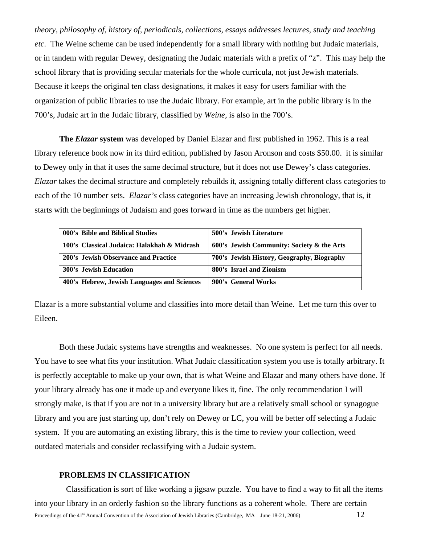*theory, philosophy of, history of, periodicals, collections, essays addresses lectures, study and teaching etc.* The Weine scheme can be used independently for a small library with nothing but Judaic materials, or in tandem with regular Dewey, designating the Judaic materials with a prefix of "z". This may help the school library that is providing secular materials for the whole curricula, not just Jewish materials. Because it keeps the original ten class designations, it makes it easy for users familiar with the organization of public libraries to use the Judaic library. For example, art in the public library is in the 700's, Judaic art in the Judaic library, classified by *Weine,* is also in the 700's.

**The** *Elazar* **system** was developed by Daniel Elazar and first published in 1962. This is a real library reference book now in its third edition, published by Jason Aronson and costs \$50.00. it is similar to Dewey only in that it uses the same decimal structure, but it does not use Dewey's class categories. *Elazar* takes the decimal structure and completely rebuilds it, assigning totally different class categories to each of the 10 number sets. *Elazar's* class categories have an increasing Jewish chronology, that is, it starts with the beginnings of Judaism and goes forward in time as the numbers get higher.

| 000's Bible and Biblical Studies            | 500's Jewish Literature                    |
|---------------------------------------------|--------------------------------------------|
| 100's Classical Judaica: Halakhah & Midrash | 600's Jewish Community: Society & the Arts |
| 200's Jewish Observance and Practice        | 700's Jewish History, Geography, Biography |
| <b>300's Jewish Education</b>               | 800's Israel and Zionism                   |
| 400's Hebrew, Jewish Languages and Sciences | 900's General Works                        |

Elazar is a more substantial volume and classifies into more detail than Weine. Let me turn this over to Eileen.

Both these Judaic systems have strengths and weaknesses. No one system is perfect for all needs. You have to see what fits your institution. What Judaic classification system you use is totally arbitrary. It is perfectly acceptable to make up your own, that is what Weine and Elazar and many others have done. If your library already has one it made up and everyone likes it, fine. The only recommendation I will strongly make, is that if you are not in a university library but are a relatively small school or synagogue library and you are just starting up, don't rely on Dewey or LC, you will be better off selecting a Judaic system. If you are automating an existing library, this is the time to review your collection, weed outdated materials and consider reclassifying with a Judaic system.

#### **PROBLEMS IN CLASSIFICATION**

Proceedings of the 41<sup>st</sup> Annual Convention of the Association of Jewish Libraries (Cambridge, MA – June 18-21, 2006) 12 Classification is sort of like working a jigsaw puzzle. You have to find a way to fit all the items into your library in an orderly fashion so the library functions as a coherent whole. There are certain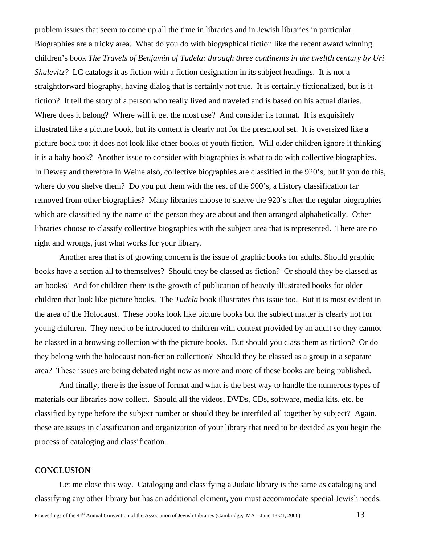problem issues that seem to come up all the time in libraries and in Jewish libraries in particular. Biographies are a tricky area. What do you do with biographical fiction like the recent award winning children's book *The Travels of Benjamin of Tudela: through three continents in the twelfth century by [Uri](http://www.amazon.com/exec/obidos/search-handle-url/index=books&field-author-exact=Uri Shulevitz&rank=-relevance%2C%2Bavailability%2C-daterank/104-2652911-0283161)  [Shulevitz?](http://www.amazon.com/exec/obidos/search-handle-url/index=books&field-author-exact=Uri Shulevitz&rank=-relevance%2C%2Bavailability%2C-daterank/104-2652911-0283161)* LC catalogs it as fiction with a fiction designation in its subject headings. It is not a straightforward biography, having dialog that is certainly not true. It is certainly fictionalized, but is it fiction? It tell the story of a person who really lived and traveled and is based on his actual diaries. Where does it belong? Where will it get the most use? And consider its format. It is exquisitely illustrated like a picture book, but its content is clearly not for the preschool set. It is oversized like a picture book too; it does not look like other books of youth fiction. Will older children ignore it thinking it is a baby book? Another issue to consider with biographies is what to do with collective biographies. In Dewey and therefore in Weine also, collective biographies are classified in the 920's, but if you do this, where do you shelve them? Do you put them with the rest of the 900's, a history classification far removed from other biographies? Many libraries choose to shelve the 920's after the regular biographies which are classified by the name of the person they are about and then arranged alphabetically. Other libraries choose to classify collective biographies with the subject area that is represented. There are no right and wrongs, just what works for your library.

Another area that is of growing concern is the issue of graphic books for adults. Should graphic books have a section all to themselves? Should they be classed as fiction? Or should they be classed as art books? And for children there is the growth of publication of heavily illustrated books for older children that look like picture books. The *Tudela* book illustrates this issue too. But it is most evident in the area of the Holocaust. These books look like picture books but the subject matter is clearly not for young children. They need to be introduced to children with context provided by an adult so they cannot be classed in a browsing collection with the picture books. But should you class them as fiction? Or do they belong with the holocaust non-fiction collection? Should they be classed as a group in a separate area? These issues are being debated right now as more and more of these books are being published.

And finally, there is the issue of format and what is the best way to handle the numerous types of materials our libraries now collect. Should all the videos, DVDs, CDs, software, media kits, etc. be classified by type before the subject number or should they be interfiled all together by subject? Again, these are issues in classification and organization of your library that need to be decided as you begin the process of cataloging and classification.

#### **CONCLUSION**

Let me close this way. Cataloging and classifying a Judaic library is the same as cataloging and classifying any other library but has an additional element, you must accommodate special Jewish needs.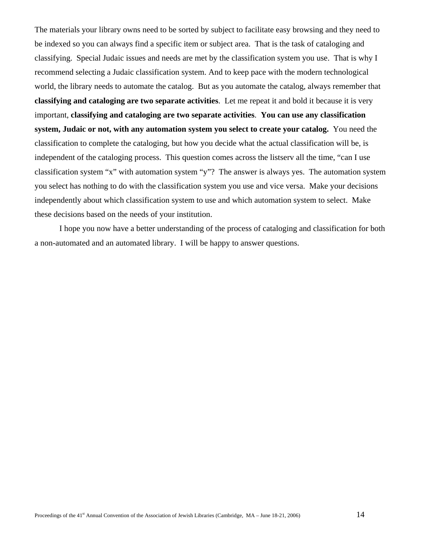The materials your library owns need to be sorted by subject to facilitate easy browsing and they need to be indexed so you can always find a specific item or subject area. That is the task of cataloging and classifying. Special Judaic issues and needs are met by the classification system you use. That is why I recommend selecting a Judaic classification system. And to keep pace with the modern technological world, the library needs to automate the catalog. But as you automate the catalog, always remember that **classifying and cataloging are two separate activities**. Let me repeat it and bold it because it is very important, **classifying and cataloging are two separate activities**. **You can use any classification system, Judaic or not, with any automation system you select to create your catalog.** You need the classification to complete the cataloging, but how you decide what the actual classification will be, is independent of the cataloging process. This question comes across the listserv all the time, "can I use classification system "x" with automation system "y"? The answer is always yes. The automation system you select has nothing to do with the classification system you use and vice versa. Make your decisions independently about which classification system to use and which automation system to select. Make these decisions based on the needs of your institution.

I hope you now have a better understanding of the process of cataloging and classification for both a non-automated and an automated library. I will be happy to answer questions.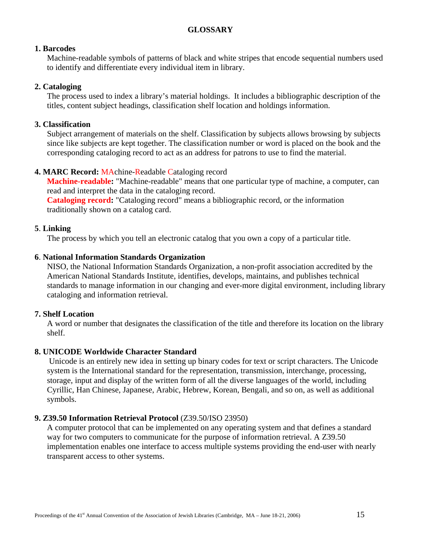# **GLOSSARY**

# **1. Barcodes**

Machine-readable symbols of patterns of black and white stripes that encode sequential numbers used to identify and differentiate every individual item in library.

# **2. Cataloging**

The process used to index a library's material holdings. It includes a bibliographic description of the titles, content subject headings, classification shelf location and holdings information.

# **3. Classification**

Subject arrangement of materials on the shelf. Classification by subjects allows browsing by subjects since like subjects are kept together. The classification number or word is placed on the book and the corresponding cataloging record to act as an address for patrons to use to find the material.

# **4. MARC Record:** MAchine-Readable Cataloging record

**Machine-readable:** "Machine-readable" means that one particular type of machine, a computer, can read and interpret the data in the cataloging record.

**Cataloging record:** "Cataloging record" means a bibliographic record, or the information traditionally shown on a catalog card.

# **5**. **Linking**

The process by which you tell an electronic catalog that you own a copy of a particular title.

# **6**. **National Information Standards Organization**

NISO, the National Information Standards Organization, a non-profit association accredited by the American National Standards Institute, identifies, develops, maintains, and publishes technical standards to manage information in our changing and ever-more digital environment, including library cataloging and information retrieval.

## **7. Shelf Location**

A word or number that designates the classification of the title and therefore its location on the library shelf.

# **8. UNICODE Worldwide Character Standard**

 Unicode is an entirely new idea in setting up binary codes for text or script characters. The Unicode system is the International standard for the representation, transmission, interchange, processing, storage, input and display of the written form of all the diverse languages of the world, including Cyrillic, Han Chinese, Japanese, Arabic, Hebrew, Korean, Bengali, and so on, as well as additional symbols.

## **9. Z39.50 Information Retrieval Protocol** (Z39.50/ISO 23950)

A computer protocol that can be implemented on any operating system and that defines a standard way for two computers to communicate for the purpose of information retrieval. A Z39.50 implementation enables one interface to access multiple systems providing the end-user with nearly transparent access to other systems.